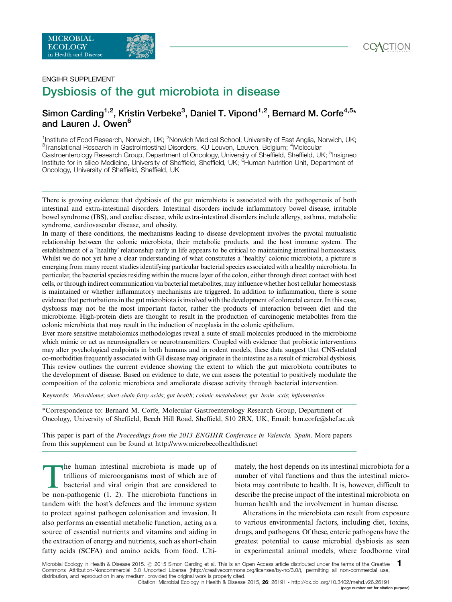

# **FNGIHR SUPPL FMFNT** Dysbiosis of the gut microbiota in disease and the set of the set of the set of the set of the set of the set of the set of the set of the set of the set of the set of the set of the set of the set of the set of the set of the set of the set of the set of the set o

# Simon Carding<sup>1,2</sup>, Kristin Verbeke<sup>3</sup>, Daniel T. Vipond<sup>1,2</sup>, Bernard M. Corfe<sup>4,5</sup>\* and Lauren J. Owen<sup>6</sup>

1<br>Institute of Food Research, Norwich, UK; <sup>2</sup>Norwich Medical School, University of East Anglia, Norwich, UK;<br><sup>3</sup>Translational Besearch in GestreIntestinal Disorders, KLLLeuven, Leuven, Belgium: <sup>4</sup>Melocular Translational Research in GastroIntestinal Disorders, KU Leuven, Leuven, Belgium; <sup>4</sup>Molecular Gastroenterology Research Group, Department of Oncology, University of Sheffield, Sheffield, UK; <sup>5</sup>Insigneo Institute for in silico Medicine, University of Sheffield, Sheffield, UK; <sup>6</sup>Human Nutrition Unit, Department of Oncology, University of Sheffield, Sheffield, UK

There is growing evidence that dysbiosis of the gut microbiota is associated with the pathogenesis of both intestinal and extra-intestinal disorders. Intestinal disorders include inflammatory bowel disease, irritable bowel syndrome (IBS), and coeliac disease, while extra-intestinal disorders include allergy, asthma, metabolic syndrome, cardiovascular disease, and obesity.

In many of these conditions, the mechanisms leading to disease development involves the pivotal mutualistic relationship between the colonic microbiota, their metabolic products, and the host immune system. The establishment of a 'healthy' relationship early in life appears to be critical to maintaining intestinal homeostasis. Whilst we do not yet have a clear understanding of what constitutes a 'healthy' colonic microbiota, a picture is emerging from many recent studies identifying particular bacterial species associated with a healthy microbiota. In particular, the bacterial species residing within the mucuslayer of the colon, either through direct contact with host cells, or through indirect communication viabacterial metabolites, may influence whether host cellular homeostasis is maintained or whether inflammatory mechanisms are triggered. In addition to inflammation, there is some evidence that perturbations in the gut microbiota is involved with the development of colorectal cancer. In this case, dysbiosis may not be the most important factor, rather the products of interaction between diet and the microbiome. High-protein diets are thought to result in the production of carcinogenic metabolites from the colonic microbiota that may result in the induction of neoplasia in the colonic epithelium.

Ever more sensitive metabolomics methodologies reveal a suite of small molecules produced in the microbiome which mimic or act as neurosignallers or neurotransmitters. Coupled with evidence that probiotic interventions may alter psychological endpoints in both humans and in rodent models, these data suggest that CNS-related co-morbidities frequently associated with GI disease may originate in the intestine as a result of microbial dysbiosis. This review outlines the current evidence showing the extent to which the gut microbiota contributes to the development of disease. Based on evidence to date, we can assess the potential to positively modulate the composition of the colonic microbiota and ameliorate disease activity through bacterial intervention.

Keywords: Microbiome; short-chain fatty acids; gut health; colonic metabolome; gut-brain-axis; inflammation

\*Correspondence to: Bernard M. Corfe, Molecular Gastroenterology Research Group, Department of Oncology, University of Sheffield, Beech Hill Road, Sheffield, S10 2RX, UK, Email: b.m.corfe@shef.ac.uk

This paper is part of the *[Proceedings from the 2013 ENGIHR Conference in Valencia, Spain](http://www.microbecolhealthdis.net/index.php/mehd/pages/view/clusters)*. More papers [from this supplement can be found at http://www.microbecolhealthdis.net](http://www.microbecolhealthdis.net/index.php/mehd/pages/view/clusters)

The human intestinal microbiota is made up of trillions of microorganisms most of which are of bacterial and viral origin that are considered to be non-pathogenic (1, 2). The microbiota functions in tandem with the host's defences and the immune system to protect against pathogen colonisation and invasion. It also performs an essential metabolic function, acting as a source of essential nutrients and vitamins and aiding in the extraction of energy and nutrients, such as short-chain fatty acids (SCFA) and amino acids, from food. Ulti-

mately, the host depends on its intestinal microbiota for a number of vital functions and thus the intestinal microbiota may contribute to health. It is, however, difficult to describe the precise impact of the intestinal microbiota on human health and the involvement in human disease.

Alterations in the microbiota can result from exposure to various environmental factors, including diet, toxins, drugs, and pathogens. Of these, enteric pathogens have the greatest potential to cause microbial dysbiosis as seen in experimental animal models, where foodborne viral

Microbial Ecology in Health & Disease 2015. @ 2015 Simon Carding et al. This is an Open Access article distributed under the terms of the Creative Commons Attribution-Noncommercial 3.0 Unported License (http://creativecommons.org/licenses/by-nc/3.0/), permitting all non-commercial use, distribution, and reproduction in any medium, provided the original work is properly cited. 1 [Citation: Microbial Ecology in Health & Disease 2015,](http://www.microbecolhealthdis.net/index.php/mehd/article/view/26191) 26: 26191 -<http://dx.doi.org/10.3402/mehd.v26.26191>

(page number not for citation purpose)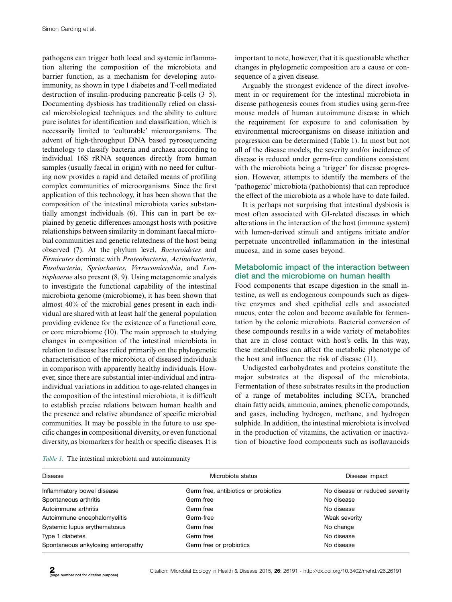pathogens can trigger both local and systemic inflammation altering the composition of the microbiota and barrier function, as a mechanism for developing autoimmunity, as shown in type 1 diabetes and T-cell mediated destruction of insulin-producing pancreatic  $\beta$ -cells (3–5). Documenting dysbiosis has traditionally relied on classical microbiological techniques and the ability to culture pure isolates for identification and classification, which is necessarily limited to 'culturable' microorganisms. The advent of high-throughput DNA based pyrosequencing technology to classify bacteria and archaea according to individual 16S rRNA sequences directly from human samples (usually faecal in origin) with no need for culturing now provides a rapid and detailed means of profiling complex communities of microorganisms. Since the first application of this technology, it has been shown that the composition of the intestinal microbiota varies substantially amongst individuals (6). This can in part be explained by genetic differences amongst hosts with positive relationships between similarity in dominant faecal microbial communities and genetic relatedness of the host being observed (7). At the phylum level, Bacteroidetes and Firmicutes dominate with Proteobacteria, Actinobacteria, Fusobacteria, Spriochaetes, Verrucomicrobia, and Lentisphaerae also present (8, 9). Using metagenomic analysis to investigate the functional capability of the intestinal microbiota genome (microbiome), it has been shown that almost 40% of the microbial genes present in each individual are shared with at least half the general population providing evidence for the existence of a functional core, or core microbiome (10). The main approach to studying changes in composition of the intestinal microbiota in relation to disease has relied primarily on the phylogenetic characterisation of the microbiota of diseased individuals in comparison with apparently healthy individuals. However, since there are substantial inter-individual and intraindividual variations in addition to age-related changes in the composition of the intestinal microbiota, it is difficult to establish precise relations between human health and the presence and relative abundance of specific microbial communities. It may be possible in the future to use specific changes in compositional diversity, or even functional diversity, as biomarkers for health or specific diseases. It is important to note, however, that it is questionable whether changes in phylogenetic composition are a cause or consequence of a given disease.

Arguably the strongest evidence of the direct involvement in or requirement for the intestinal microbiota in disease pathogenesis comes from studies using germ-free mouse models of human autoimmune disease in which the requirement for exposure to and colonisation by environmental microorganisms on disease initiation and progression can be determined (Table 1). In most but not all of the disease models, the severity and/or incidence of disease is reduced under germ-free conditions consistent with the microbiota being a 'trigger' for disease progression. However, attempts to identify the members of the 'pathogenic' microbiota (pathobionts) that can reproduce the effect of the microbiota as a whole have to date failed.

It is perhaps not surprising that intestinal dysbiosis is most often associated with GI-related diseases in which alterations in the interaction of the host (immune system) with lumen-derived stimuli and antigens initiate and/or perpetuate uncontrolled inflammation in the intestinal mucosa, and in some cases beyond.

## Metabolomic impact of the interaction between diet and the microbiome on human health

Food components that escape digestion in the small intestine, as well as endogenous compounds such as digestive enzymes and shed epithelial cells and associated mucus, enter the colon and become available for fermentation by the colonic microbiota. Bacterial conversion of these compounds results in a wide variety of metabolites that are in close contact with host's cells. In this way, these metabolites can affect the metabolic phenotype of the host and influence the risk of disease (11).

Undigested carbohydrates and proteins constitute the major substrates at the disposal of the microbiota. Fermentation of these substrates results in the production of a range of metabolites including SCFA, branched chain fatty acids, ammonia, amines, phenolic compounds, and gases, including hydrogen, methane, and hydrogen sulphide. In addition, the intestinal microbiota is involved in the production of vitamins, the activation or inactivation of bioactive food components such as isoflavanoids

| <b>Disease</b>                     | Microbiota status                    | Disease impact                 |
|------------------------------------|--------------------------------------|--------------------------------|
| Inflammatory bowel disease         | Germ free, antibiotics or probiotics | No disease or reduced severity |
| Spontaneous arthritis              | Germ free                            | No disease                     |
| Autoimmune arthritis               | Germ free                            | No disease                     |
| Autoimmune encephalomyelitis       | Germ-free                            | Weak severity                  |
| Systemic lupus erythematosus       | Germ free                            | No change                      |
| Type 1 diabetes                    | Germ free                            | No disease                     |
| Spontaneous ankylosing enteropathy | Germ free or probiotics              | No disease                     |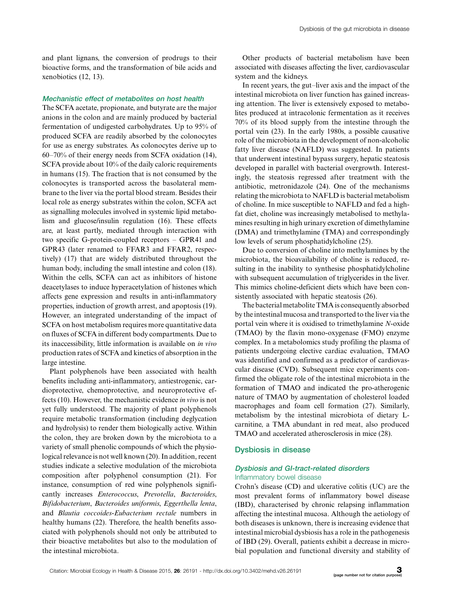and plant lignans, the conversion of prodrugs to their bioactive forms, and the transformation of bile acids and xenobiotics (12, 13).

### Mechanistic effect of metabolites on host health

The SCFA acetate, propionate, and butyrate are the major anions in the colon and are mainly produced by bacterial fermentation of undigested carbohydrates. Up to 95% of produced SCFA are readily absorbed by the colonocytes for use as energy substrates. As colonocytes derive up to 60-70% of their energy needs from SCFA oxidation (14), SCFA provide about 10% of the daily caloric requirements in humans (15). The fraction that is not consumed by the colonocytes is transported across the basolateral membrane to the liver via the portal blood stream. Besides their local role as energy substrates within the colon, SCFA act as signalling molecules involved in systemic lipid metabolism and glucose/insulin regulation (16). These effects are, at least partly, mediated through interaction with two specific G-protein-coupled receptors – GPR41 and GPR43 (later renamed to FFAR3 and FFAR2, respectively) (17) that are widely distributed throughout the human body, including the small intestine and colon (18). Within the cells, SCFA can act as inhibitors of histone deacetylases to induce hyperacetylation of histones which affects gene expression and results in anti-inflammatory properties, induction of growth arrest, and apoptosis (19). However, an integrated understanding of the impact of SCFA on host metabolism requires more quantitative data on fluxes of SCFA in different body compartments. Due to its inaccessibility, little information is available on in vivo production rates of SCFA and kinetics of absorption in the large intestine.

Plant polyphenols have been associated with health benefits including anti-inflammatory, antiestrogenic, cardioprotective, chemoprotective, and neuroprotective effects (10). However, the mechanistic evidence in vivo is not yet fully understood. The majority of plant polyphenols require metabolic transformation (including deglycation and hydrolysis) to render them biologically active. Within the colon, they are broken down by the microbiota to a variety of small phenolic compounds of which the physiological relevance is not well known (20). In addition, recent studies indicate a selective modulation of the microbiota composition after polyphenol consumption (21). For instance, consumption of red wine polyphenols significantly increases Enterococcus, Prevotella, Bacteroides, Bifidobacterium, Bacteroides uniformis, Eggerthella lenta, and Blautia coccoides-Eubacterium rectale numbers in healthy humans (22). Therefore, the health benefits associated with polyphenols should not only be attributed to their bioactive metabolites but also to the modulation of the intestinal microbiota.

Other products of bacterial metabolism have been associated with diseases affecting the liver, cardiovascular system and the kidneys.

In recent years, the gut-liver axis and the impact of the intestinal microbiota on liver function has gained increasing attention. The liver is extensively exposed to metabolites produced at intracolonic fermentation as it receives 70% of its blood supply from the intestine through the portal vein (23). In the early 1980s, a possible causative role of the microbiota in the development of non-alcoholic fatty liver disease (NAFLD) was suggested. In patients that underwent intestinal bypass surgery, hepatic steatosis developed in parallel with bacterial overgrowth. Interestingly, the steatosis regressed after treatment with the antibiotic, metronidazole (24). One of the mechanisms relating the microbiota to NAFLD is bacterial metabolism of choline. In mice susceptible to NAFLD and fed a highfat diet, choline was increasingly metabolised to methylamines resulting in high urinary excretion of dimethylamine (DMA) and trimethylamine (TMA) and correspondingly low levels of serum phosphatidylcholine (25).

Due to conversion of choline into methylamines by the microbiota, the bioavailability of choline is reduced, resulting in the inability to synthesise phosphatidylcholine with subsequent accumulation of triglycerides in the liver. This mimics choline-deficient diets which have been consistently associated with hepatic steatosis (26).

The bacterial metabolite TMA is consequently absorbed by the intestinal mucosa and transported to the liver via the portal vein where it is oxidised to trimethylamine N-oxide (TMAO) by the flavin mono-oxygenase (FMO) enzyme complex. In a metabolomics study profiling the plasma of patients undergoing elective cardiac evaluation, TMAO was identified and confirmed as a predictor of cardiovascular disease (CVD). Subsequent mice experiments confirmed the obligate role of the intestinal microbiota in the formation of TMAO and indicated the pro-atherogenic nature of TMAO by augmentation of cholesterol loaded macrophages and foam cell formation (27). Similarly, metabolism by the intestinal microbiota of dietary Lcarnitine, a TMA abundant in red meat, also produced TMAO and accelerated atherosclerosis in mice (28).

### Dysbiosis in disease

### Dysbiosis and GI-tract-related disorders Inflammatory bowel disease

Crohn's disease (CD) and ulcerative colitis (UC) are the most prevalent forms of inflammatory bowel disease (IBD), characterised by chronic relapsing inflammation affecting the intestinal mucosa. Although the aetiology of both diseases is unknown, there is increasing evidence that intestinal microbial dysbiosis has a role in the pathogenesis of IBD (29). Overall, patients exhibit a decrease in microbial population and functional diversity and stability of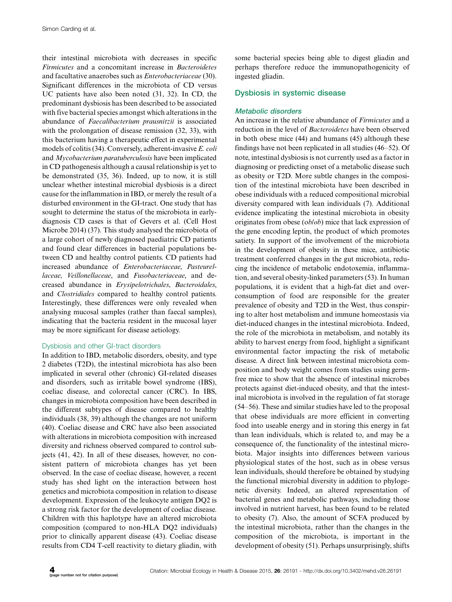their intestinal microbiota with decreases in specific Firmicutes and a concomitant increase in Bacteroidetes and facultative anaerobes such as Enterobacteriaceae (30). Significant differences in the microbiota of CD versus UC patients have also been noted (31, 32). In CD, the predominant dysbiosis has been described to be associated with five bacterial species amongst which alterations in the abundance of Faecalibacterium prausnitzii is associated with the prolongation of disease remission (32, 33), with this bacterium having a therapeutic effect in experimental models of colitis (34). Conversely, adherent-invasive E. coli and Mycobacterium paratuberculosis have been implicated in CD pathogenesis although a causal relationship is yet to be demonstrated (35, 36). Indeed, up to now, it is still unclear whether intestinal microbial dysbiosis is a direct cause for the inflammation in IBD, or merely the result of a disturbed environment in the GI-tract. One study that has sought to determine the status of the microbiota in earlydiagnosis CD cases is that of Gevers et al. (Cell Host Microbe 2014) (37). This study analysed the microbiota of a large cohort of newly diagnosed paediatric CD patients and found clear differences in bacterial populations between CD and healthy control patients. CD patients had increased abundance of Enterobacteriaceae, Pasteurellaceae, Veillonellaceae, and Fusobacteriaceae, and decreased abundance in Erysipelotrichales, Bacteroidales, and Clostridiales compared to healthy control patients. Interestingly, these differences were only revealed when analysing mucosal samples (rather than faecal samples), indicating that the bacteria resident in the mucosal layer may be more significant for disease aetiology.

### Dysbiosis and other GI-tract disorders

In addition to IBD, metabolic disorders, obesity, and type 2 diabetes (T2D), the intestinal microbiota has also been implicated in several other (chronic) GI-related diseases and disorders, such as irritable bowel syndrome (IBS), coeliac disease, and colorectal cancer (CRC). In IBS, changes in microbiota composition have been described in the different subtypes of disease compared to healthy individuals (38, 39) although the changes are not uniform (40). Coeliac disease and CRC have also been associated with alterations in microbiota composition with increased diversity and richness observed compared to control subjects (41, 42). In all of these diseases, however, no consistent pattern of microbiota changes has yet been observed. In the case of coeliac disease, however, a recent study has shed light on the interaction between host genetics and microbiota composition in relation to disease development. Expression of the leukocyte antigen DQ2 is a strong risk factor for the development of coeliac disease. Children with this haplotype have an altered microbiota composition (compared to non-HLA DQ2 individuals) prior to clinically apparent disease (43). Coeliac disease results from CD4 T-cell reactivity to dietary gliadin, with

some bacterial species being able to digest gliadin and perhaps therefore reduce the immunopathogenicity of ingested gliadin.

# Dysbiosis in systemic disease

# Metabolic disorders

An increase in the relative abundance of Firmicutes and a reduction in the level of Bacteroidetes have been observed in both obese mice (44) and humans (45) although these findings have not been replicated in all studies (46-52). Of note, intestinal dysbiosis is not currently used as a factor in diagnosing or predicting onset of a metabolic disease such as obesity or T2D. More subtle changes in the composition of the intestinal microbiota have been described in obese individuals with a reduced compositional microbial diversity compared with lean individuals (7). Additional evidence implicating the intestinal microbiota in obesity originates from obese (ob/ob) mice that lack expression of the gene encoding leptin, the product of which promotes satiety. In support of the involvement of the microbiota in the development of obesity in these mice, antibiotic treatment conferred changes in the gut microbiota, reducing the incidence of metabolic endotoxemia, inflammation, and several obesity-linked parameters (53). In human populations, it is evident that a high-fat diet and overconsumption of food are responsible for the greater prevalence of obesity and T2D in the West, thus conspiring to alter host metabolism and immune homeostasis via diet-induced changes in the intestinal microbiota. Indeed, the role of the microbiota in metabolism, and notably its ability to harvest energy from food, highlight a significant environmental factor impacting the risk of metabolic disease. A direct link between intestinal microbiota composition and body weight comes from studies using germfree mice to show that the absence of intestinal microbes protects against diet-induced obesity, and that the intestinal microbiota is involved in the regulation of fat storage (54-56). These and similar studies have led to the proposal that obese individuals are more efficient in converting food into useable energy and in storing this energy in fat than lean individuals, which is related to, and may be a consequence of, the functionality of the intestinal microbiota. Major insights into differences between various physiological states of the host, such as in obese versus lean individuals, should therefore be obtained by studying the functional microbial diversity in addition to phylogenetic diversity. Indeed, an altered representation of bacterial genes and metabolic pathways, including those involved in nutrient harvest, has been found to be related to obesity (7). Also, the amount of SCFA produced by the intestinal microbiota, rather than the changes in the composition of the microbiota, is important in the development of obesity (51). Perhaps unsurprisingly, shifts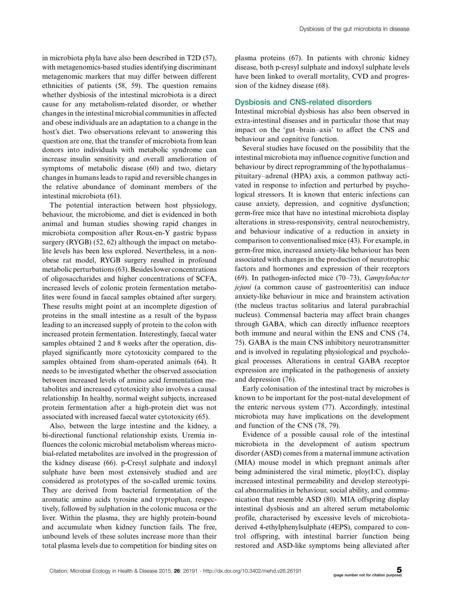in microbiota phyla have also been described in T2D (57), with metagenomics-based studies identifying discriminant metagenomic markers that may differ between different ethnicities of patients (58, 59). The question remains whether dysbiosis of the intestinal microbiota is a direct cause for any metabolism-related disorder, or whether changes in the intestinal microbial communities in affected and obese individuals are an adaptation to a change in the host's diet. Two observations relevant to answering this question are one, that the transfer of microbiota from lean donors into individuals with metabolic syndrome can increase insulin sensitivity and overall amelioration of symptoms of metabolic disease (60) and two, dietary changes in humans leads to rapid and reversible changes in the relative abundance of dominant members of the intestinal microbiota (61).

The potential interaction between host physiology, behaviour, the microbiome, and diet is evidenced in both animal and human studies showing rapid changes in microbiota composition after Roux-en-Y gastric bypass surgery (RYGB) (52, 62) although the impact on metabolite levels has been less explored. Nevertheless, in a nonobese rat model, RYGB surgery resulted in profound metabolic perturbations (63). Besides lower concentrations of oligosaccharides and higher concentrations of SCFA, increased levels of colonic protein fermentation metabolites were found in faecal samples obtained after surgery. These results might point at an incomplete digestion of proteins in the small intestine as a result of the bypass leading to an increased supply of protein to the colon with increased protein fermentation. Interestingly, faecal water samples obtained 2 and 8 weeks after the operation, displayed significantly more cytotoxicity compared to the samples obtained from sham-operated animals (64). It needs to be investigated whether the observed association between increased levels of amino acid fermentation metabolites and increased cytotoxicity also involves a causal relationship. In healthy, normal weight subjects, increased protein fermentation after a high-protein diet was not associated with increased faecal water cytotoxicity (65).

Also, between the large intestine and the kidney, a bi-directional functional relationship exists. Uremia influences the colonic microbial metabolism whereas microbial-related metabolites are involved in the progression of the kidney disease (66). p-Cresyl sulphate and indoxyl sulphate have been most extensively studied and are considered as prototypes of the so-called uremic toxins. They are derived from bacterial fermentation of the aromatic amino acids tyrosine and tryptophan, respectively, followed by sulphation in the colonic mucosa or the liver. Within the plasma, they are highly protein-bound and accumulate when kidney function fails. The free, unbound levels of these solutes increase more than their total plasma levels due to competition for binding sites on

plasma proteins (67). In patients with chronic kidney disease, both p-cresyl sulphate and indoxyl sulphate levels have been linked to overall mortality, CVD and progression of the kidney disease (68).

### Dysbiosis and CNS-related disorders

Intestinal microbial dysbiosis has also been observed in extra-intestinal diseases and in particular those that may impact on the 'gut-brain-axis' to affect the CNS and behaviour and cognitive function.

Several studies have focused on the possibility that the intestinal microbiota may influence cognitive function and behaviour by direct reprogramming of the hypothalamus pituitary-adrenal (HPA) axis, a common pathway activated in response to infection and perturbed by psychological stressors. It is known that enteric infections can cause anxiety, depression, and cognitive dysfunction; germ-free mice that have no intestinal microbiota display alterations in stress-responsivity, central neurochemistry, and behaviour indicative of a reduction in anxiety in comparison to conventionalised mice (43). For example, in germ-free mice, increased anxiety-like behaviour has been associated with changes in the production of neurotrophic factors and hormones and expression of their receptors (69). In pathogen-infected mice (70–73), Campylobacter jejuni (a common cause of gastroenteritis) can induce anxiety-like behaviour in mice and brainstem activation (the nucleus tractus solitarius and lateral parabrachial nucleus). Commensal bacteria may affect brain changes through GABA, which can directly influence receptors both immune and neural within the ENS and CNS (74, 75). GABA is the main CNS inhibitory neurotransmitter and is involved in regulating physiological and psychological processes. Alterations in central GABA receptor expression are implicated in the pathogenesis of anxiety and depression (76).

Early colonisation of the intestinal tract by microbes is known to be important for the post-natal development of the enteric nervous system (77). Accordingly, intestinal microbiota may have implications on the development and function of the CNS (78, 79).

Evidence of a possible causal role of the intestinal microbiota in the development of autism spectrum disorder (ASD) comes from a maternal immune activation (MIA) mouse model in which pregnant animals after being administered the viral mimetic, ploy(I:C), display increased intestinal permeability and develop stereotypical abnormalities in behaviour, social ability, and communication that resemble ASD (80). MIA offspring display intestinal dysbiosis and an altered serum metabolomic profile, characterised by excessive levels of microbiotaderived 4-ethylphenylsulphate (4EPS), compared to control offspring, with intestinal barrier function being restored and ASD-like symptoms being alleviated after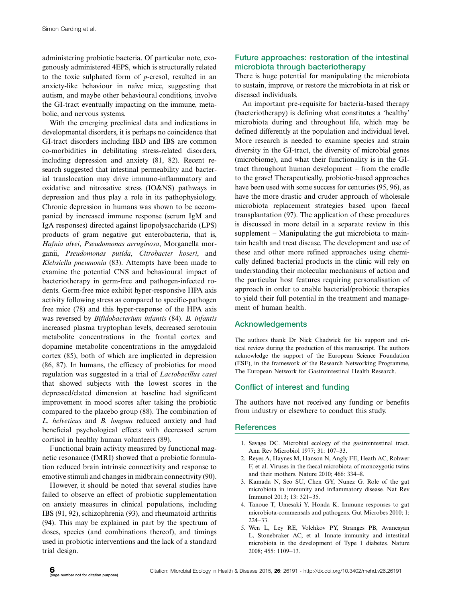administering probiotic bacteria. Of particular note, exogenously administered 4EPS, which is structurally related to the toxic sulphated form of  $p$ -cresol, resulted in an anxiety-like behaviour in naïve mice, suggesting that autism, and maybe other behavioural conditions, involve the GI-tract eventually impacting on the immune, metabolic, and nervous systems.

With the emerging preclinical data and indications in developmental disorders, it is perhaps no coincidence that GI-tract disorders including IBD and IBS are common co-morbidities in debilitating stress-related disorders, including depression and anxiety (81, 82). Recent research suggested that intestinal permeability and bacterial translocation may drive immuno-inflammatory and oxidative and nitrosative stress (IO&NS) pathways in depression and thus play a role in its pathophysiology. Chronic depression in humans was shown to be accompanied by increased immune response (serum IgM and IgA responses) directed against lipopolysaccharide (LPS) products of gram negative gut enterobacteria, that is, Hafnia alvei, Pseudomonas aeruginosa, Morganella morganii, Pseudomonas putida, Citrobacter koseri, and Klebsiella pneumonia (83). Attempts have been made to examine the potential CNS and behavioural impact of bacteriotherapy in germ-free and pathogen-infected rodents. Germ-free mice exhibit hyper-responsive HPA axis activity following stress as compared to specific-pathogen free mice (78) and this hyper-response of the HPA axis was reversed by Bifidobacterium infantis (84). B. infantis increased plasma tryptophan levels, decreased serotonin metabolite concentrations in the frontal cortex and dopamine metabolite concentrations in the amygdaloid cortex (85), both of which are implicated in depression (86, 87). In humans, the efficacy of probiotics for mood regulation was suggested in a trial of Lactobacillus casei that showed subjects with the lowest scores in the depressed/elated dimension at baseline had significant improvement in mood scores after taking the probiotic compared to the placebo group (88). The combination of L. helveticus and B. longum reduced anxiety and had beneficial psychological effects with decreased serum cortisol in healthy human volunteers (89).

Functional brain activity measured by functional magnetic resonance (fMRI) showed that a probiotic formulation reduced brain intrinsic connectivity and response to emotive stimuli and changes in midbrain connectivity (90).

However, it should be noted that several studies have failed to observe an effect of probiotic supplementation on anxiety measures in clinical populations, including IBS (91, 92), schizophrenia (93), and rheumatoid arthritis (94). This may be explained in part by the spectrum of doses, species (and combinations thereof), and timings used in probiotic interventions and the lack of a standard trial design.

# Future approaches: restoration of the intestinal microbiota through bacteriotherapy

There is huge potential for manipulating the microbiota to sustain, improve, or restore the microbiota in at risk or diseased individuals.

An important pre-requisite for bacteria-based therapy (bacteriotherapy) is defining what constitutes a 'healthy' microbiota during and throughout life, which may be defined differently at the population and individual level. More research is needed to examine species and strain diversity in the GI-tract, the diversity of microbial genes (microbiome), and what their functionality is in the GItract throughout human development - from the cradle to the grave! Therapeutically, probiotic-based approaches have been used with some success for centuries (95, 96), as have the more drastic and cruder approach of wholesale microbiota replacement strategies based upon faecal transplantation (97). The application of these procedures is discussed in more detail in a separate review in this supplement – Manipulating the gut microbiota to maintain health and treat disease. The development and use of these and other more refined approaches using chemically defined bacterial products in the clinic will rely on understanding their molecular mechanisms of action and the particular host features requiring personalisation of approach in order to enable bacterial/probiotic therapies to yield their full potential in the treatment and management of human health.

# Acknowledgements

The authors thank Dr Nick Chadwick for his support and critical review during the production of this manuscript. The authors acknowledge the support of the European Science Foundation (ESF), in the framework of the Research Networking Programme, The European Network for Gastrointestinal Health Research.

# Conflict of interest and funding

The authors have not received any funding or benefits from industry or elsewhere to conduct this study.

### **References**

- 1. Savage DC. Microbial ecology of the gastrointestinal tract. Ann Rev Microbiol 1977; 31: 107-33.
- 2. Reyes A, Haynes M, Hanson N, Angly FE, Heath AC, Rohwer F, et al. Viruses in the faecal microbiota of monozygotic twins and their mothers. Nature 2010; 466: 334-8.
- 3. Kamada N, Seo SU, Chen GY, Nunez G. Role of the gut microbiota in immunity and inflammatory disease. Nat Rev Immunol 2013; 13: 321-35.
- 4. Tanoue T, Umesaki Y, Honda K. Immune responses to gut microbiota-commensals and pathogens. Gut Microbes 2010; 1: 224-33.
- 5. Wen L, Ley RE, Volchkov PY, Stranges PB, Avanesyan L, Stonebraker AC, et al. Innate immunity and intestinal microbiota in the development of Type 1 diabetes. Nature 2008; 455: 1109-13.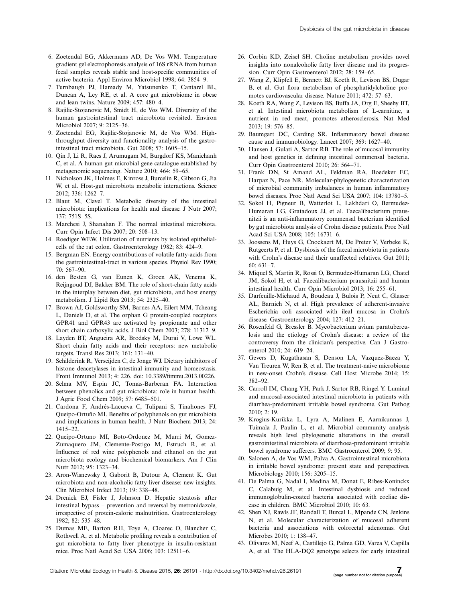- 7. Turnbaugh PJ, Hamady M, Yatsunenko T, Cantarel BL, Duncan A, Ley RE, et al. A core gut microbiome in obese and lean twins. Nature 2009; 457: 480-4.
- 8. Rajilic-Stojanovic M, Smidt H, de Vos WM. Diversity of the human gastrointestinal tract microbiota revisited. Environ Microbiol 2007; 9: 2125-36.
- 9. Zoetendal EG, Rajilic-Stojanovic M, de Vos WM. Highthroughput diversity and functionality analysis of the gastrointestinal tract microbiota. Gut 2008; 57: 1605-15.
- 10. Qin J, Li R, Raes J, Arumugam M, Burgdorf KS, Manichanh C, et al. A human gut microbial gene catalogue established by metagenomic sequencing. Nature 2010; 464: 59-65.
- 11. Nicholson JK, Holmes E, Kinross J, Burcelin R, Gibson G, Jia W, et al. Host-gut microbiota metabolic interactions. Science 2012; 336: 1262-7.
- 12. Blaut M, Clavel T. Metabolic diversity of the intestinal microbiota: implications for health and disease. J Nutr 2007; 137: 751S-5S.
- 13. Marchesi J, Shanahan F. The normal intestinal microbiota. Curr Opin Infect Dis 2007; 20: 508-13.
- 14. Roediger WEW. Utilization of nutrients by isolated epithelialcells of the rat colon. Gastroenterology 1982; 83: 424-9.
- 15. Bergman EN. Energy contributions of volatile fatty-acids from the gastrointestinal-tract in various species. Physiol Rev 1990; 70: 567-90.
- 16. den Besten G, van Eunen K, Groen AK, Venema K, Reijngoud DJ, Bakker BM. The role of short-chain fatty acids in the interplay between diet, gut microbiota, and host energy metabolism. J Lipid Res 2013; 54: 2325-40.
- 17. Brown AJ, Goldsworthy SM, Barnes AA, Eilert MM, Tcheang L, Daniels D, et al. The orphan G protein-coupled receptors GPR41 and GPR43 are activated by propionate and other short chain carboxylic acids. J Biol Chem 2003; 278: 11312-9.
- 18. Layden BT, Angueira AR, Brodsky M, Durai V, Lowe WL. Short chain fatty acids and their receptors: new metabolic targets. Transl Res 2013; 161: 131-40.
- 19. Schilderink R, Verseijden C, de Jonge WJ. Dietary inhibitors of histone deacetylases in intestinal immunity and homeostasis. Front Immunol 2013; 4: 226. doi: 10.3389/fimmu.2013.00226.
- 20. Selma MV, Espin JC, Tomas-Barberan FA. Interaction between phenolics and gut microbiota: role in human health. J Agric Food Chem 2009; 57: 6485-501.
- 21. Cardona F, Andrés-Lacueva C, Tulipani S, Tinahones FJ, Queipo-Ortuño MI. Benefits of polyphenols on gut microbiota and implications in human health. J Nutr Biochem 2013; 24: 1415-22.
- 22. Queipo-Ortuno MI, Boto-Ordonez M, Murri M, Gomez-Zumaquero JM, Clemente-Postigo M, Estruch R, et al. Influence of red wine polyphenols and ethanol on the gut microbiota ecology and biochemical biomarkers. Am J Clin Nutr 2012; 95: 1323-34.
- 23. Aron-Wisnewsky J, Gaborit B, Dutour A, Clement K. Gut microbiota and non-alcoholic fatty liver disease: new insights. Clin Microbiol Infect 2013; 19: 338-48.
- 24. Drenick EJ, Fisler J, Johnson D. Hepatic steatosis after intestinal bypass - prevention and reversal by metronidazole, irrespective of protein-calorie malnutrition. Gastroenterology 1982; 82: 535-48.
- 25. Dumas ME, Barton RH, Toye A, Cloarec O, Blancher C, Rothwell A, et al. Metabolic profiling reveals a contribution of gut microbiota to fatty liver phenotype in insulin-resistant mice. Proc Natl Acad Sci USA 2006; 103: 12511-6.
- 26. Corbin KD, Zeisel SH. Choline metabolism provides novel insights into nonalcoholic fatty liver disease and its progression. Curr Opin Gastroenterol 2012; 28: 159-65.
- 27. Wang Z, Klipfell E, Bennett BJ, Koeth R, Levison BS, Dugar B, et al. Gut flora metabolism of phosphatidylcholine promotes cardiovascular disease. Nature 2011; 472: 57-63.
- 28. Koeth RA, Wang Z, Levison BS, Buffa JA, Org E, Sheehy BT, et al. Intestinal microbiota metabolism of L-carnitine, a nutrient in red meat, promotes atherosclerosis. Nat Med 2013; 19: 576-85.
- 29. Baumgart DC, Carding SR. Inflammatory bowel disease: cause and immunobiology. Lancet 2007; 369: 1627-40.
- 30. Hansen J, Gulati A, Sartor RB. The role of mucosal immunity and host genetics in defining intestinal commensal bacteria. Curr Opin Gastroenterol 2010; 26: 564-71.
- 31. Frank DN, St Amand AL, Feldman RA, Boedeker EC, Harpaz N, Pace NR. Molecular-phylogenetic characterization of microbial community imbalances in human inflammatory bowel diseases. Proc Natl Acad Sci USA 2007; 104: 13780-5.
- 32. Sokol H, Pigneur B, Watterlot L, Lakhdari O, Bermudez-Humaran LG, Gratadoux JJ, et al. Faecalibacterium prausnitzii is an anti-inflammatory commensal bacterium identified by gut microbiota analysis of Crohn disease patients. Proc Natl Acad Sci USA 2008; 105: 16731-6.
- 33. Joossens M, Huys G, Cnockaert M, De Preter V, Verbeke K, Rutgeerts P, et al. Dysbiosis of the faecal microbiota in patients with Crohn's disease and their unaffected relatives. Gut 2011; 60: 631-7.
- 34. Miquel S, Martin R, Rossi O, Bermudez-Humaran LG, Chatel JM, Sokol H, et al. Faecalibacterium prausnitzii and human intestinal health. Curr Opin Microbiol 2013; 16: 255-61.
- 35. Darfeuille-Michaud A, Boudeau J, Bulois P, Neut C, Glasser AL, Barnich N, et al. High prevalence of adherent-invasive Escherichia coli associated with ileal mucosa in Crohn's disease. Gastroenterology 2004; 127: 412-21.
- 36. Rosenfeld G, Bressler B. Mycobacterium avium paratuberculosis and the etiology of Crohn's disease: a review of the controversy from the clinician's perspective. Can J Gastroenterol 2010; 24: 619-24.
- 37. Gevers D, Kugathasan S, Denson LA, Vazquez-Baeza Y, Van Treuren W, Ren B, et al. The treatment-naive microbiome in new-onset Crohn's disease. Cell Host Microbe 2014; 15: 382-92.
- 38. Carroll IM, Chang YH, Park J, Sartor RB, Ringel Y. Luminal and mucosal-associated intestinal microbiota in patients with diarrhea-predominant irritable bowel syndrome. Gut Pathog  $2010 \cdot 2 \cdot 19$
- 39. Krogius-Kurikka L, Lyra A, Malinen E, Aarnikunnas J, Tuimala J, Paulin L, et al. Microbial community analysis reveals high level phylogenetic alterations in the overall gastrointestinal microbiota of diarrhoea-predominant irritable bowel syndrome sufferers. BMC Gastroenterol 2009; 9: 95.
- 40. Salonen A, de Vos WM, Palva A. Gastrointestinal microbiota in irritable bowel syndrome: present state and perspectives. Microbiology 2010; 156: 3205-15.
- 41. De Palma G, Nadal I, Medina M, Donat E, Ribes-Koninckx C, Calabuig M, et al. Intestinal dysbiosis and reduced immunoglobulin-coated bacteria associated with coeliac disease in children. BMC Microbiol 2010; 10: 63.
- 42. Shen XJ, Rawls JF, Randall T, Burcal L, Mpande CN, Jenkins N, et al. Molecular characterization of mucosal adherent bacteria and associations with colorectal adenomas. Gut Microbes 2010; 1: 138-47.
- 43. Olivares M, Neef A, Castillejo G, Palma GD, Varea V, Capilla A, et al. The HLA-DQ2 genotype selects for early intestinal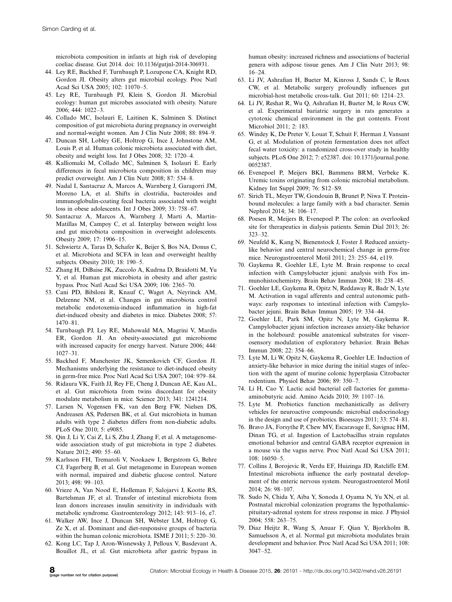microbiota composition in infants at high risk of developing coeliac disease. Gut 2014. doi: 10.1136/gutjnl-2014-306931.

- 44. Ley RE, Backhed F, Turnbaugh P, Lozupone CA, Knight RD, Gordon JI. Obesity alters gut microbial ecology. Proc Natl Acad Sci USA 2005; 102: 11070-5.
- 45. Ley RE, Turnbaugh PJ, Klein S, Gordon JI. Microbial ecology: human gut microbes associated with obesity. Nature 2006; 444: 1022-3.
- 46. Collado MC, Isolauri E, Laitinen K, Salminen S. Distinct composition of gut microbiota during pregnancy in overweight and normal-weight women. Am J Clin Nutr 2008; 88: 894-9.
- 47. Duncan SH, Lobley GE, Holtrop G, Ince J, Johnstone AM, Louis P, et al. Human colonic microbiota associated with diet, obesity and weight loss. Int J Obes 2008; 32: 1720-4.
- 48. Kalliomaki M, Collado MC, Salminen S, Isolauri E. Early differences in fecal microbiota composition in children may predict overweight. Am J Clin Nutr 2008; 87: 534-8.
- 49. Nadal I, Santacruz A, Marcos A, Warnberg J, Garagorri JM, Moreno LA, et al. Shifts in clostridia, bacteroides and immunoglobulin-coating fecal bacteria associated with weight loss in obese adolescents. Int J Obes 2009; 33: 758-67.
- 50. Santacruz A, Marcos A, Warnberg J, Marti A, Martin-Matillas M, Campoy C, et al. Interplay between weight loss and gut microbiota composition in overweight adolescents. Obesity 2009; 17: 1906-15.
- 51. Schwiertz A, Taras D, Schafer K, Beijer S, Bos NA, Donus C, et al. Microbiota and SCFA in lean and overweight healthy subjects. Obesity 2010; 18: 190-5.
- 52. Zhang H, DiBaise JK, Zuccolo A, Kudrna D, Braidotti M, Yu Y, et al. Human gut microbiota in obesity and after gastric bypass. Proc Natl Acad Sci USA 2009; 106: 2365-70.
- 53. Cani PD, Bibiloni R, Knauf C, Waget A, Neyrinck AM, Delzenne NM, et al. Changes in gut microbiota control metabolic endotoxemia-induced inflammation in high-fat diet-induced obesity and diabetes in mice. Diabetes 2008; 57: 1470-81.
- 54. Turnbaugh PJ, Ley RE, Mahowald MA, Magrini V, Mardis ER, Gordon JI. An obesity-associated gut microbiome with increased capacity for energy harvest. Nature 2006; 444: 1027-31.
- 55. Backhed F, Manchester JK, Semenkovich CF, Gordon JI. Mechanisms underlying the resistance to diet-induced obesity in germ-free mice. Proc Natl Acad Sci USA 2007; 104: 979-84.
- 56. Ridaura VK, Faith JJ, Rey FE, Cheng J, Duncan AE, Kau AL, et al. Gut microbiota from twins discordant for obesity modulate metabolism in mice. Science 2013; 341: 1241214.
- 57. Larsen N, Vogensen FK, van den Berg FW, Nielsen DS, Andreasen AS, Pedersen BK, et al. Gut microbiota in human adults with type 2 diabetes differs from non-diabetic adults. PLoS One 2010; 5: e9085.
- 58. Qin J, Li Y, Cai Z, Li S, Zhu J, Zhang F, et al. A metagenomewide association study of gut microbiota in type 2 diabetes. Nature 2012; 490: 55-60.
- 59. Karlsson FH, Tremaroli V, Nookaew I, Bergstrom G, Behre CJ, Fagerberg B, et al. Gut metagenome in European women with normal, impaired and diabetic glucose control. Nature 2013; 498: 99-103.
- 60. Vrieze A, Van Nood E, Holleman F, Salojarvi J, Kootte RS, Bartelsman JF, et al. Transfer of intestinal microbiota from lean donors increases insulin sensitivity in individuals with metabolic syndrome. Gastroenterology 2012; 143: 913-16, e7.
- 61. Walker AW, Ince J, Duncan SH, Webster LM, Holtrop G, Ze X, et al. Dominant and diet-responsive groups of bacteria within the human colonic microbiota. ISME J 2011; 5: 220-30.
- 62. Kong LC, Tap J, Aron-Wisnewsky J, Pelloux V, Basdevant A, Bouillot JL, et al. Gut microbiota after gastric bypass in
- 63. Li JV, Ashrafian H, Bueter M, Kinross J, Sands C, le Roux CW, et al. Metabolic surgery profoundly influences gut microbial-host metabolic cross-talk. Gut 2011; 60: 1214-23.
- 64. Li JV, Reshat R, Wu Q, Ashrafian H, Bueter M, le Roux CW, et al. Experimental bariatric surgery in rats generates a cytotoxic chemical environment in the gut contents. Front Microbiol 2011; 2: 183.
- 65. Windey K, De Preter V, Louat T, Schuit F, Herman J, Vansant G, et al. Modulation of protein fermentation does not affect fecal water toxicity: a randomized cross-over study in healthy subjects. PLoS One 2012; 7: e52387. doi: 10.1371/journal.pone. 0052387.
- 66. Evenepoel P, Meijers BKI, Bammens BRM, Verbeke K. Uremic toxins originating from colonic microbial metabolism. Kidney Int Suppl 2009; 76: S12-S9.
- 67. Sirich TL, Meyer TW, Gondouin B, Brunet P, Niwa T. Proteinbound molecules: a large family with a bad character. Semin Nephrol 2014; 34: 106-17.
- 68. Poesen R, Meijers B, Evenepoel P. The colon: an overlooked site for therapeutics in dialysis patients. Semin Dial 2013; 26: 323-32.
- 69. Neufeld K, Kang N, Bienenstock J, Foster J. Reduced anxietylike behavior and central neurochemical change in germ-free mice. Neurogastroenterol Motil 2011; 23: 255-64, e119.
- 70. Gaykema R, Goehler LE, Lyte M. Brain response to cecal infection with Campylobacter jejuni: analysis with Fos immunohistochemistry. Brain Behav Immun 2004; 18: 238-45.
- 71. Goehler LE, Gaykema R, Opitz N, Reddaway R, Badr N, Lyte M. Activation in vagal afferents and central autonomic pathways: early responses to intestinal infection with Campylobacter jejuni. Brain Behav Immun 2005; 19: 334-44.
- 72. Goehler LE, Park SM, Opitz N, Lyte M, Gaykema R. Campylobacter jejuni infection increases anxiety-like behavior in the holeboard: possible anatomical substrates for viscerosensory modulation of exploratory behavior. Brain Behav Immun 2008; 22: 354-66.
- 73. Lyte M, Li W, Opitz N, Gaykema R, Goehler LE. Induction of anxiety-like behavior in mice during the initial stages of infection with the agent of murine colonic hyperplasia Citrobacter rodentium. Physiol Behav 2006; 89: 350-7.
- 74. Li H, Cao Y. Lactic acid bacterial cell factories for gammaaminobutyric acid. Amino Acids 2010; 39: 1107-16.
- 75. Lyte M. Probiotics function mechanistically as delivery vehicles for neuroactive compounds: microbial endocrinology in the design and use of probiotics. Bioessays 2011; 33: 574-81.
- 76. Bravo JA, Forsythe P, Chew MV, Escaravage E, Savignac HM, Dinan TG, et al. Ingestion of Lactobacillus strain regulates emotional behavior and central GABA receptor expression in a mouse via the vagus nerve. Proc Natl Acad Sci USA 2011; 108: 16050-5.
- 77. Collins J, Borojevic R, Verdu EF, Huizinga JD, Ratcliffe EM. Intestinal microbiota influence the early postnatal development of the enteric nervous system. Neurogastroenterol Motil 2014; 26: 98-107.
- 78. Sudo N, Chida Y, Aiba Y, Sonoda J, Oyama N, Yu XN, et al. Postnatal microbial colonization programs the hypothalamicpituitary-adrenal system for stress response in mice. J Physiol 2004; 558: 263-75.
- 79. Diaz Heijtz R, Wang S, Anuar F, Qian Y, Bjorkholm B, Samuelsson A, et al. Normal gut microbiota modulates brain development and behavior. Proc Natl Acad Sci USA 2011; 108: 3047-52.